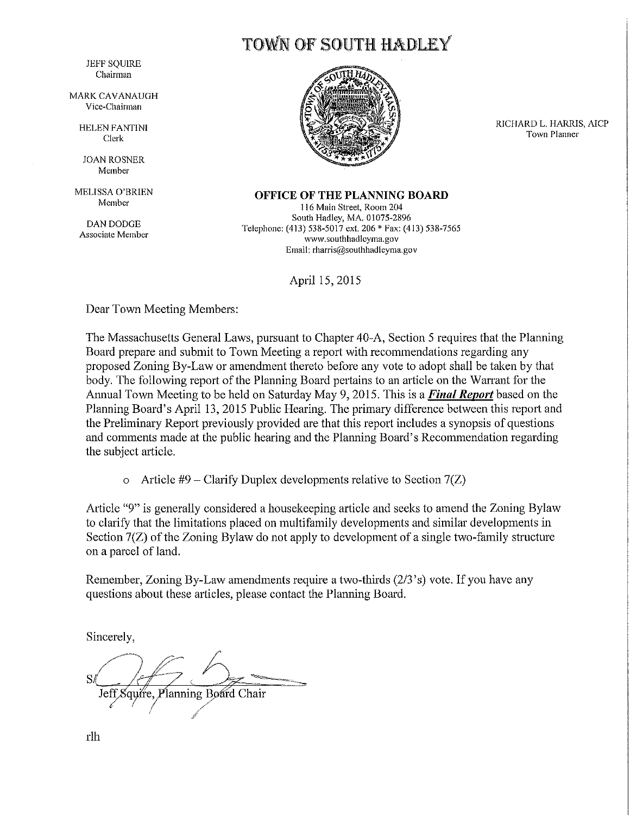TOWN OF SOUTH HADLEY

**JEFF SOUIRE** Chairman

**MARK CAVANAUGH** Vice-Chairman

**HELEN FANTINI** Clerk

**JOAN ROSNER** Member

MELISSA O'BRIEN Member

**DAN DODGE** Associate Member



RICHARD L. HARRIS, AICP Town Planner

**OFFICE OF THE PLANNING BOARD** 

116 Main Street, Room 204 South Hadley, MA, 01075-2896 Telephone: (413) 538-5017 ext. 206 \* Fax: (413) 538-7565 www.southhadleyma.gov Email: rharris@southhadleyma.gov

April 15, 2015

Dear Town Meeting Members:

The Massachusetts General Laws, pursuant to Chapter 40-A, Section 5 requires that the Planning Board prepare and submit to Town Meeting a report with recommendations regarding any proposed Zoning By-Law or amendment thereto before any vote to adopt shall be taken by that body. The following report of the Planning Board pertains to an article on the Warrant for the Annual Town Meeting to be held on Saturday May 9, 2015. This is a Final Report based on the Planning Board's April 13, 2015 Public Hearing. The primary difference between this report and the Preliminary Report previously provided are that this report includes a synopsis of questions and comments made at the public hearing and the Planning Board's Recommendation regarding the subject article.

o Article #9 – Clarify Duplex developments relative to Section  $7(Z)$ 

Article "9" is generally considered a house keeping article and seeks to amend the Zoning Bylaw to clarify that the limitations placed on multifamily developments and similar developments in Section 7(Z) of the Zoning Bylaw do not apply to development of a single two-family structure on a parcel of land.

Remember, Zoning By-Law amendments require a two-thirds (2/3's) vote. If you have any questions about these articles, please contact the Planning Board.

Sincerely,

Jeff, Squire, Planning Board Chair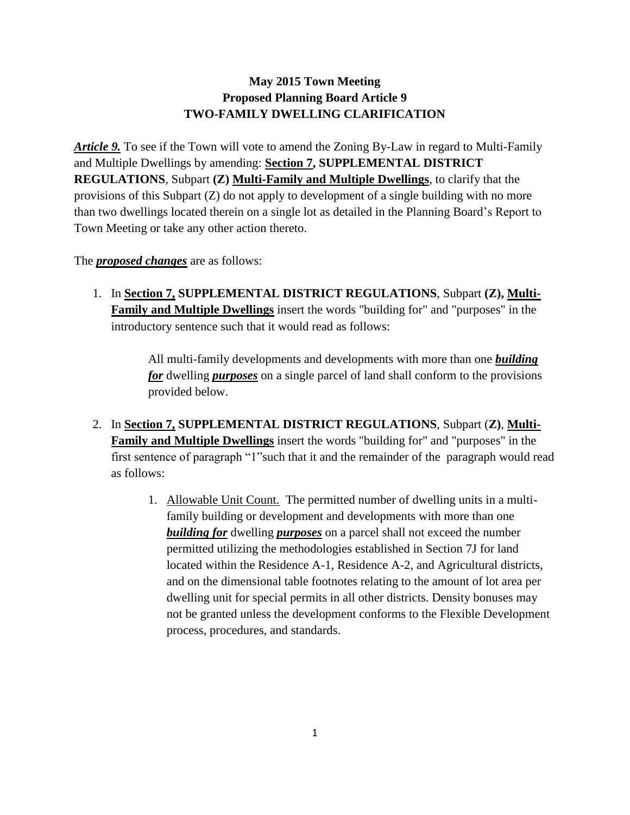## **May 2015 Town Meeting Proposed Planning Board Article 9 TWO-FAMILY DWELLING CLARIFICATION**

*Article 9.* To see if the Town will vote to amend the Zoning By-Law in regard to Multi-Family and Multiple Dwellings by amending: **Section 7, SUPPLEMENTAL DISTRICT REGULATIONS**, Subpart **(Z) Multi-Family and Multiple Dwellings**, to clarify that the provisions of this Subpart (Z) do not apply to development of a single building with no more than two dwellings located therein on a single lot as detailed in the Planning Board's Report to Town Meeting or take any other action thereto.

The *proposed changes* are as follows:

1. In **Section 7, SUPPLEMENTAL DISTRICT REGULATIONS**, Subpart **(Z), Multi-Family and Multiple Dwellings** insert the words "building for" and "purposes" in the introductory sentence such that it would read as follows:

> All multi-family developments and developments with more than one *building for* dwelling *purposes* on a single parcel of land shall conform to the provisions provided below.

- 2. In **Section 7, SUPPLEMENTAL DISTRICT REGULATIONS**, Subpart (**Z)**, **Multi-Family and Multiple Dwellings** insert the words "building for" and "purposes" in the first sentence of paragraph "1"such that it and the remainder of the paragraph would read as follows:
	- 1. Allowable Unit Count. The permitted number of dwelling units in a multifamily building or development and developments with more than one *building for* dwelling *purposes* on a parcel shall not exceed the number permitted utilizing the methodologies established in Section 7J for land located within the Residence A-1, Residence A-2, and Agricultural districts, and on the dimensional table footnotes relating to the amount of lot area per dwelling unit for special permits in all other districts. Density bonuses may not be granted unless the development conforms to the Flexible Development process, procedures, and standards.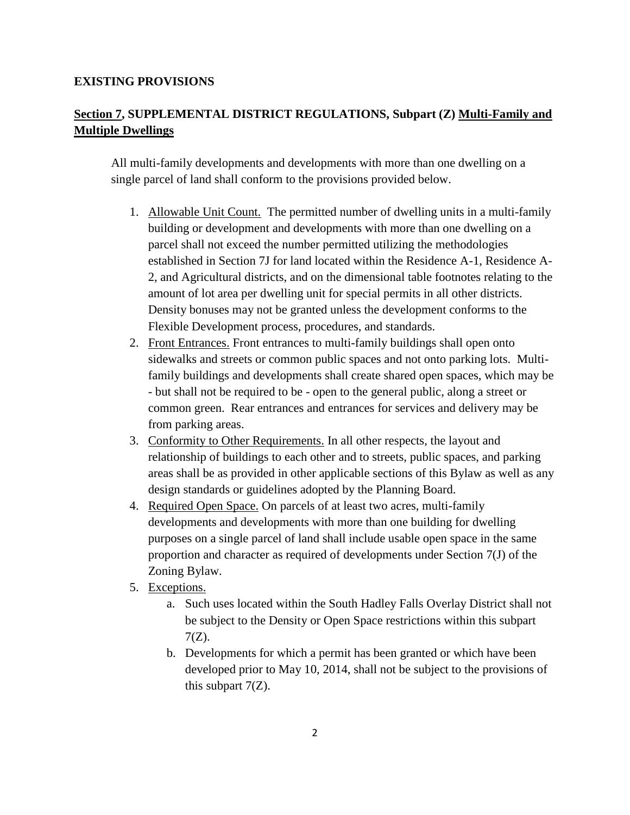## **EXISTING PROVISIONS**

## **Section 7, SUPPLEMENTAL DISTRICT REGULATIONS, Subpart (Z) Multi-Family and Multiple Dwellings**

All multi-family developments and developments with more than one dwelling on a single parcel of land shall conform to the provisions provided below.

- 1. Allowable Unit Count. The permitted number of dwelling units in a multi-family building or development and developments with more than one dwelling on a parcel shall not exceed the number permitted utilizing the methodologies established in Section 7J for land located within the Residence A-1, Residence A-2, and Agricultural districts, and on the dimensional table footnotes relating to the amount of lot area per dwelling unit for special permits in all other districts. Density bonuses may not be granted unless the development conforms to the Flexible Development process, procedures, and standards.
- 2. Front Entrances. Front entrances to multi-family buildings shall open onto sidewalks and streets or common public spaces and not onto parking lots. Multifamily buildings and developments shall create shared open spaces, which may be - but shall not be required to be - open to the general public, along a street or common green. Rear entrances and entrances for services and delivery may be from parking areas.
- 3. Conformity to Other Requirements. In all other respects, the layout and relationship of buildings to each other and to streets, public spaces, and parking areas shall be as provided in other applicable sections of this Bylaw as well as any design standards or guidelines adopted by the Planning Board.
- 4. Required Open Space. On parcels of at least two acres, multi-family developments and developments with more than one building for dwelling purposes on a single parcel of land shall include usable open space in the same proportion and character as required of developments under Section 7(J) of the Zoning Bylaw.
- 5. Exceptions.
	- a. Such uses located within the South Hadley Falls Overlay District shall not be subject to the Density or Open Space restrictions within this subpart 7(Z).
	- b. Developments for which a permit has been granted or which have been developed prior to May 10, 2014, shall not be subject to the provisions of this subpart  $7(Z)$ .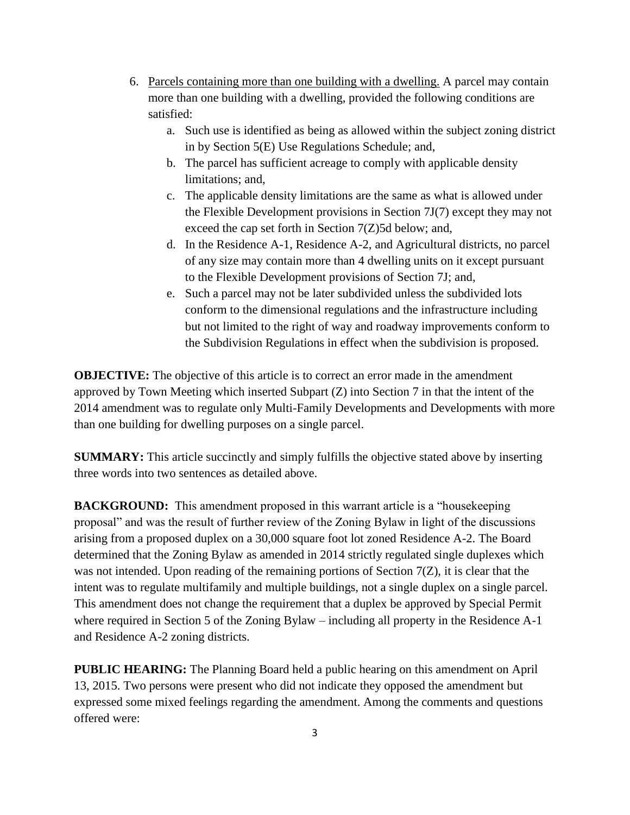- 6. Parcels containing more than one building with a dwelling. A parcel may contain more than one building with a dwelling, provided the following conditions are satisfied:
	- a. Such use is identified as being as allowed within the subject zoning district in by Section 5(E) Use Regulations Schedule; and,
	- b. The parcel has sufficient acreage to comply with applicable density limitations; and,
	- c. The applicable density limitations are the same as what is allowed under the Flexible Development provisions in Section 7J(7) except they may not exceed the cap set forth in Section 7(Z)5d below; and,
	- d. In the Residence A-1, Residence A-2, and Agricultural districts, no parcel of any size may contain more than 4 dwelling units on it except pursuant to the Flexible Development provisions of Section 7J; and,
	- e. Such a parcel may not be later subdivided unless the subdivided lots conform to the dimensional regulations and the infrastructure including but not limited to the right of way and roadway improvements conform to the Subdivision Regulations in effect when the subdivision is proposed.

**OBJECTIVE:** The objective of this article is to correct an error made in the amendment approved by Town Meeting which inserted Subpart (Z) into Section 7 in that the intent of the 2014 amendment was to regulate only Multi-Family Developments and Developments with more than one building for dwelling purposes on a single parcel.

**SUMMARY:** This article succinctly and simply fulfills the objective stated above by inserting three words into two sentences as detailed above.

**BACKGROUND:** This amendment proposed in this warrant article is a "house keeping" proposal" and was the result of further review of the Zoning Bylaw in light of the discussions arising from a proposed duplex on a 30,000 square foot lot zoned Residence A-2. The Board determined that the Zoning Bylaw as amended in 2014 strictly regulated single duplexes which was not intended. Upon reading of the remaining portions of Section 7(Z), it is clear that the intent was to regulate multifamily and multiple buildings, not a single duplex on a single parcel. This amendment does not change the requirement that a duplex be approved by Special Permit where required in Section 5 of the Zoning Bylaw – including all property in the Residence A-1 and Residence A-2 zoning districts.

**PUBLIC HEARING:** The Planning Board held a public hearing on this amendment on April 13, 2015. Two persons were present who did not indicate they opposed the amendment but expressed some mixed feelings regarding the amendment. Among the comments and questions offered were: